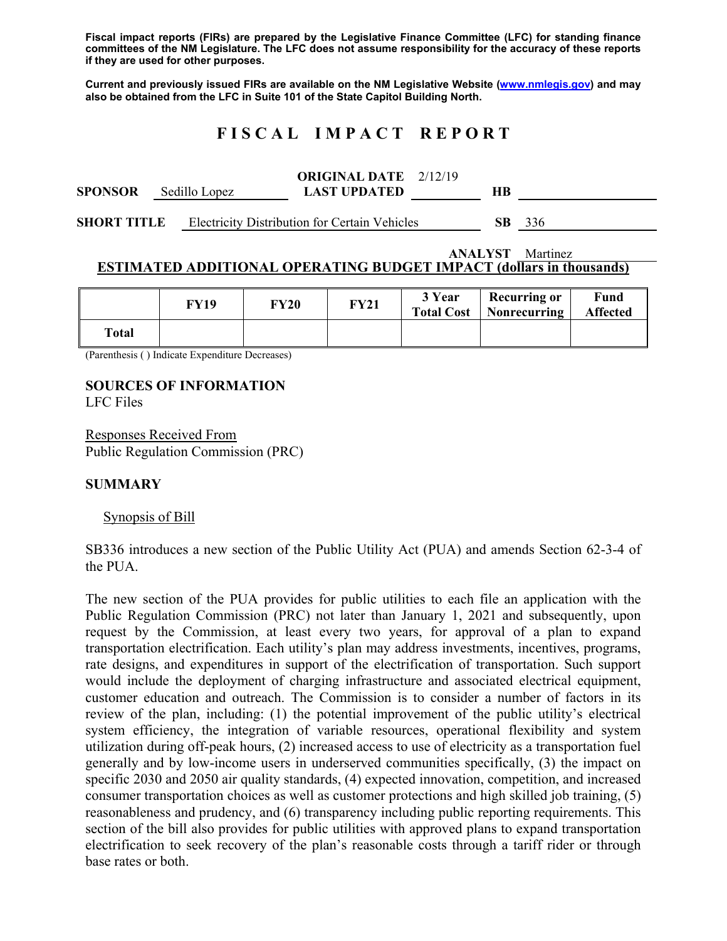**Fiscal impact reports (FIRs) are prepared by the Legislative Finance Committee (LFC) for standing finance committees of the NM Legislature. The LFC does not assume responsibility for the accuracy of these reports if they are used for other purposes.** 

**Current and previously issued FIRs are available on the NM Legislative Website (www.nmlegis.gov) and may also be obtained from the LFC in Suite 101 of the State Capitol Building North.** 

# **F I S C A L I M P A C T R E P O R T**

| <b>SPONSOR</b>     |  | Sedillo Lopez | <b>ORIGINAL DATE</b> 2/12/19<br><b>LAST UPDATED</b>  | HВ  |     |
|--------------------|--|---------------|------------------------------------------------------|-----|-----|
| <b>SHORT TITLE</b> |  |               | <b>Electricity Distribution for Certain Vehicles</b> | SB. | 336 |

#### **ANALYST** Martinez **ESTIMATED ADDITIONAL OPERATING BUDGET IMPACT (dollars in thousands)**

|       | FY19 | <b>FY20</b> | <b>FY21</b> | 3 Year<br><b>Total Cost</b> | <b>Recurring or</b><br>Nonrecurring | Fund<br><b>Affected</b> |
|-------|------|-------------|-------------|-----------------------------|-------------------------------------|-------------------------|
| Total |      |             |             |                             |                                     |                         |

(Parenthesis ( ) Indicate Expenditure Decreases)

### **SOURCES OF INFORMATION**

LFC Files

Responses Received From Public Regulation Commission (PRC)

### **SUMMARY**

Synopsis of Bill

SB336 introduces a new section of the Public Utility Act (PUA) and amends Section 62-3-4 of the PUA.

The new section of the PUA provides for public utilities to each file an application with the Public Regulation Commission (PRC) not later than January 1, 2021 and subsequently, upon request by the Commission, at least every two years, for approval of a plan to expand transportation electrification. Each utility's plan may address investments, incentives, programs, rate designs, and expenditures in support of the electrification of transportation. Such support would include the deployment of charging infrastructure and associated electrical equipment, customer education and outreach. The Commission is to consider a number of factors in its review of the plan, including: (1) the potential improvement of the public utility's electrical system efficiency, the integration of variable resources, operational flexibility and system utilization during off-peak hours, (2) increased access to use of electricity as a transportation fuel generally and by low-income users in underserved communities specifically, (3) the impact on specific 2030 and 2050 air quality standards, (4) expected innovation, competition, and increased consumer transportation choices as well as customer protections and high skilled job training, (5) reasonableness and prudency, and (6) transparency including public reporting requirements. This section of the bill also provides for public utilities with approved plans to expand transportation electrification to seek recovery of the plan's reasonable costs through a tariff rider or through base rates or both.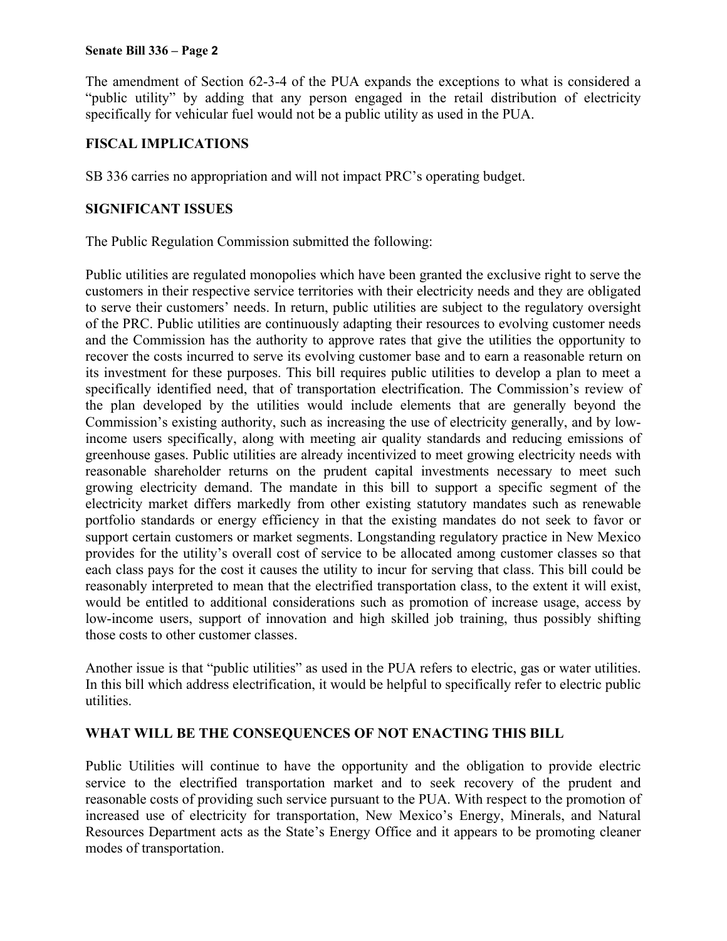#### **Senate Bill 336 – Page 2**

The amendment of Section 62-3-4 of the PUA expands the exceptions to what is considered a "public utility" by adding that any person engaged in the retail distribution of electricity specifically for vehicular fuel would not be a public utility as used in the PUA.

## **FISCAL IMPLICATIONS**

SB 336 carries no appropriation and will not impact PRC's operating budget.

## **SIGNIFICANT ISSUES**

The Public Regulation Commission submitted the following:

Public utilities are regulated monopolies which have been granted the exclusive right to serve the customers in their respective service territories with their electricity needs and they are obligated to serve their customers' needs. In return, public utilities are subject to the regulatory oversight of the PRC. Public utilities are continuously adapting their resources to evolving customer needs and the Commission has the authority to approve rates that give the utilities the opportunity to recover the costs incurred to serve its evolving customer base and to earn a reasonable return on its investment for these purposes. This bill requires public utilities to develop a plan to meet a specifically identified need, that of transportation electrification. The Commission's review of the plan developed by the utilities would include elements that are generally beyond the Commission's existing authority, such as increasing the use of electricity generally, and by lowincome users specifically, along with meeting air quality standards and reducing emissions of greenhouse gases. Public utilities are already incentivized to meet growing electricity needs with reasonable shareholder returns on the prudent capital investments necessary to meet such growing electricity demand. The mandate in this bill to support a specific segment of the electricity market differs markedly from other existing statutory mandates such as renewable portfolio standards or energy efficiency in that the existing mandates do not seek to favor or support certain customers or market segments. Longstanding regulatory practice in New Mexico provides for the utility's overall cost of service to be allocated among customer classes so that each class pays for the cost it causes the utility to incur for serving that class. This bill could be reasonably interpreted to mean that the electrified transportation class, to the extent it will exist, would be entitled to additional considerations such as promotion of increase usage, access by low-income users, support of innovation and high skilled job training, thus possibly shifting those costs to other customer classes.

Another issue is that "public utilities" as used in the PUA refers to electric, gas or water utilities. In this bill which address electrification, it would be helpful to specifically refer to electric public utilities.

### **WHAT WILL BE THE CONSEQUENCES OF NOT ENACTING THIS BILL**

Public Utilities will continue to have the opportunity and the obligation to provide electric service to the electrified transportation market and to seek recovery of the prudent and reasonable costs of providing such service pursuant to the PUA. With respect to the promotion of increased use of electricity for transportation, New Mexico's Energy, Minerals, and Natural Resources Department acts as the State's Energy Office and it appears to be promoting cleaner modes of transportation.